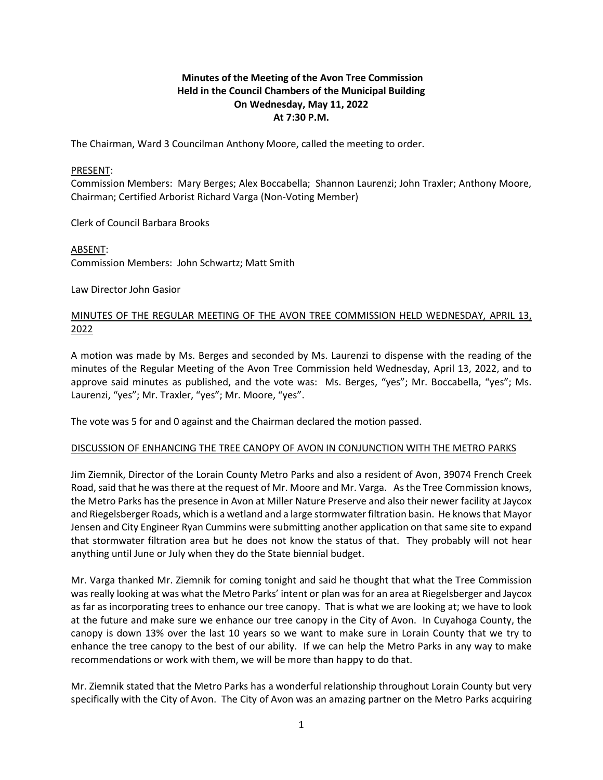## **Minutes of the Meeting of the Avon Tree Commission Held in the Council Chambers of the Municipal Building On Wednesday, May 11, 2022 At 7:30 P.M.**

The Chairman, Ward 3 Councilman Anthony Moore, called the meeting to order.

#### PRESENT:

Commission Members: Mary Berges; Alex Boccabella; Shannon Laurenzi; John Traxler; Anthony Moore, Chairman; Certified Arborist Richard Varga (Non-Voting Member)

Clerk of Council Barbara Brooks

ABSENT:

Commission Members: John Schwartz; Matt Smith

Law Director John Gasior

## MINUTES OF THE REGULAR MEETING OF THE AVON TREE COMMISSION HELD WEDNESDAY, APRIL 13, 2022

A motion was made by Ms. Berges and seconded by Ms. Laurenzi to dispense with the reading of the minutes of the Regular Meeting of the Avon Tree Commission held Wednesday, April 13, 2022, and to approve said minutes as published, and the vote was: Ms. Berges, "yes"; Mr. Boccabella, "yes"; Ms. Laurenzi, "yes"; Mr. Traxler, "yes"; Mr. Moore, "yes".

The vote was 5 for and 0 against and the Chairman declared the motion passed.

#### DISCUSSION OF ENHANCING THE TREE CANOPY OF AVON IN CONJUNCTION WITH THE METRO PARKS

Jim Ziemnik, Director of the Lorain County Metro Parks and also a resident of Avon, 39074 French Creek Road, said that he was there at the request of Mr. Moore and Mr. Varga. As the Tree Commission knows, the Metro Parks has the presence in Avon at Miller Nature Preserve and also their newer facility at Jaycox and Riegelsberger Roads, which is a wetland and a large stormwater filtration basin. He knows that Mayor Jensen and City Engineer Ryan Cummins were submitting another application on that same site to expand that stormwater filtration area but he does not know the status of that. They probably will not hear anything until June or July when they do the State biennial budget.

Mr. Varga thanked Mr. Ziemnik for coming tonight and said he thought that what the Tree Commission was really looking at was what the Metro Parks' intent or plan was for an area at Riegelsberger and Jaycox as far as incorporating trees to enhance our tree canopy. That is what we are looking at; we have to look at the future and make sure we enhance our tree canopy in the City of Avon. In Cuyahoga County, the canopy is down 13% over the last 10 years so we want to make sure in Lorain County that we try to enhance the tree canopy to the best of our ability. If we can help the Metro Parks in any way to make recommendations or work with them, we will be more than happy to do that.

Mr. Ziemnik stated that the Metro Parks has a wonderful relationship throughout Lorain County but very specifically with the City of Avon. The City of Avon was an amazing partner on the Metro Parks acquiring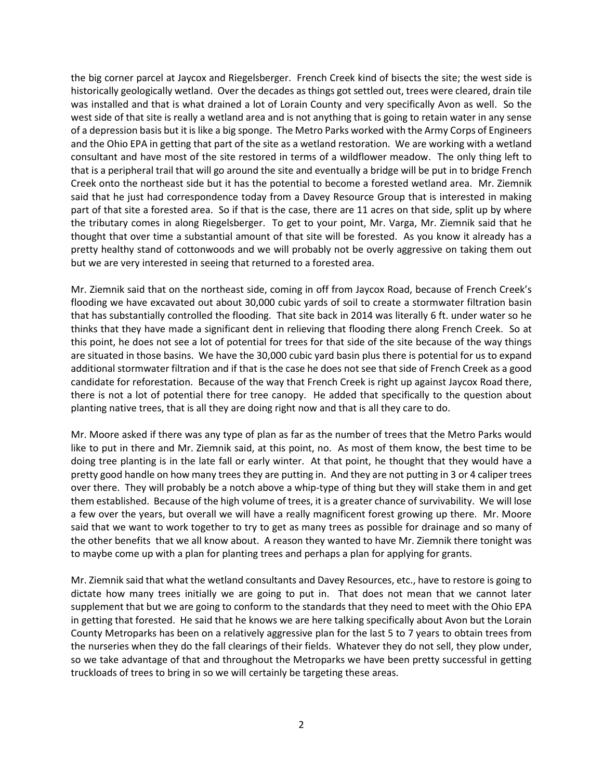the big corner parcel at Jaycox and Riegelsberger. French Creek kind of bisects the site; the west side is historically geologically wetland. Over the decades as things got settled out, trees were cleared, drain tile was installed and that is what drained a lot of Lorain County and very specifically Avon as well. So the west side of that site is really a wetland area and is not anything that is going to retain water in any sense of a depression basis but it is like a big sponge. The Metro Parks worked with the Army Corps of Engineers and the Ohio EPA in getting that part of the site as a wetland restoration. We are working with a wetland consultant and have most of the site restored in terms of a wildflower meadow. The only thing left to that is a peripheral trail that will go around the site and eventually a bridge will be put in to bridge French Creek onto the northeast side but it has the potential to become a forested wetland area. Mr. Ziemnik said that he just had correspondence today from a Davey Resource Group that is interested in making part of that site a forested area. So if that is the case, there are 11 acres on that side, split up by where the tributary comes in along Riegelsberger. To get to your point, Mr. Varga, Mr. Ziemnik said that he thought that over time a substantial amount of that site will be forested. As you know it already has a pretty healthy stand of cottonwoods and we will probably not be overly aggressive on taking them out but we are very interested in seeing that returned to a forested area.

Mr. Ziemnik said that on the northeast side, coming in off from Jaycox Road, because of French Creek's flooding we have excavated out about 30,000 cubic yards of soil to create a stormwater filtration basin that has substantially controlled the flooding. That site back in 2014 was literally 6 ft. under water so he thinks that they have made a significant dent in relieving that flooding there along French Creek. So at this point, he does not see a lot of potential for trees for that side of the site because of the way things are situated in those basins. We have the 30,000 cubic yard basin plus there is potential for us to expand additional stormwater filtration and if that is the case he does not see that side of French Creek as a good candidate for reforestation. Because of the way that French Creek is right up against Jaycox Road there, there is not a lot of potential there for tree canopy. He added that specifically to the question about planting native trees, that is all they are doing right now and that is all they care to do.

Mr. Moore asked if there was any type of plan as far as the number of trees that the Metro Parks would like to put in there and Mr. Ziemnik said, at this point, no. As most of them know, the best time to be doing tree planting is in the late fall or early winter. At that point, he thought that they would have a pretty good handle on how many trees they are putting in. And they are not putting in 3 or 4 caliper trees over there. They will probably be a notch above a whip-type of thing but they will stake them in and get them established. Because of the high volume of trees, it is a greater chance of survivability. We will lose a few over the years, but overall we will have a really magnificent forest growing up there. Mr. Moore said that we want to work together to try to get as many trees as possible for drainage and so many of the other benefits that we all know about. A reason they wanted to have Mr. Ziemnik there tonight was to maybe come up with a plan for planting trees and perhaps a plan for applying for grants.

Mr. Ziemnik said that what the wetland consultants and Davey Resources, etc., have to restore is going to dictate how many trees initially we are going to put in. That does not mean that we cannot later supplement that but we are going to conform to the standards that they need to meet with the Ohio EPA in getting that forested. He said that he knows we are here talking specifically about Avon but the Lorain County Metroparks has been on a relatively aggressive plan for the last 5 to 7 years to obtain trees from the nurseries when they do the fall clearings of their fields. Whatever they do not sell, they plow under, so we take advantage of that and throughout the Metroparks we have been pretty successful in getting truckloads of trees to bring in so we will certainly be targeting these areas.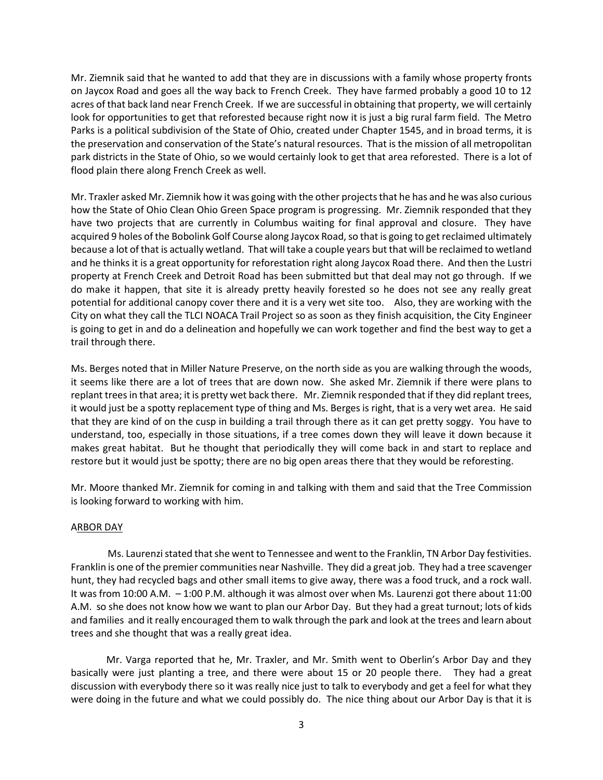Mr. Ziemnik said that he wanted to add that they are in discussions with a family whose property fronts on Jaycox Road and goes all the way back to French Creek. They have farmed probably a good 10 to 12 acres of that back land near French Creek. If we are successful in obtaining that property, we will certainly look for opportunities to get that reforested because right now it is just a big rural farm field. The Metro Parks is a political subdivision of the State of Ohio, created under Chapter 1545, and in broad terms, it is the preservation and conservation of the State's natural resources. That is the mission of all metropolitan park districts in the State of Ohio, so we would certainly look to get that area reforested. There is a lot of flood plain there along French Creek as well.

Mr. Traxler asked Mr. Ziemnik how it was going with the other projects that he has and he was also curious how the State of Ohio Clean Ohio Green Space program is progressing. Mr. Ziemnik responded that they have two projects that are currently in Columbus waiting for final approval and closure. They have acquired 9 holes of the Bobolink Golf Course along Jaycox Road, so that is going to get reclaimed ultimately because a lot of that is actually wetland. That will take a couple years but that will be reclaimed to wetland and he thinks it is a great opportunity for reforestation right along Jaycox Road there. And then the Lustri property at French Creek and Detroit Road has been submitted but that deal may not go through. If we do make it happen, that site it is already pretty heavily forested so he does not see any really great potential for additional canopy cover there and it is a very wet site too. Also, they are working with the City on what they call the TLCI NOACA Trail Project so as soon as they finish acquisition, the City Engineer is going to get in and do a delineation and hopefully we can work together and find the best way to get a trail through there.

Ms. Berges noted that in Miller Nature Preserve, on the north side as you are walking through the woods, it seems like there are a lot of trees that are down now. She asked Mr. Ziemnik if there were plans to replant trees in that area; it is pretty wet back there. Mr. Ziemnik responded that if they did replant trees, it would just be a spotty replacement type of thing and Ms. Berges is right, that is a very wet area. He said that they are kind of on the cusp in building a trail through there as it can get pretty soggy. You have to understand, too, especially in those situations, if a tree comes down they will leave it down because it makes great habitat. But he thought that periodically they will come back in and start to replace and restore but it would just be spotty; there are no big open areas there that they would be reforesting.

Mr. Moore thanked Mr. Ziemnik for coming in and talking with them and said that the Tree Commission is looking forward to working with him.

### ARBOR DAY

 Ms. Laurenzi stated that she went to Tennessee and went to the Franklin, TN Arbor Day festivities. Franklin is one of the premier communities near Nashville. They did a great job. They had a tree scavenger hunt, they had recycled bags and other small items to give away, there was a food truck, and a rock wall. It was from 10:00 A.M. – 1:00 P.M. although it was almost over when Ms. Laurenzi got there about 11:00 A.M. so she does not know how we want to plan our Arbor Day. But they had a great turnout; lots of kids and families and it really encouraged them to walk through the park and look at the trees and learn about trees and she thought that was a really great idea.

Mr. Varga reported that he, Mr. Traxler, and Mr. Smith went to Oberlin's Arbor Day and they basically were just planting a tree, and there were about 15 or 20 people there. They had a great discussion with everybody there so it was really nice just to talk to everybody and get a feel for what they were doing in the future and what we could possibly do. The nice thing about our Arbor Day is that it is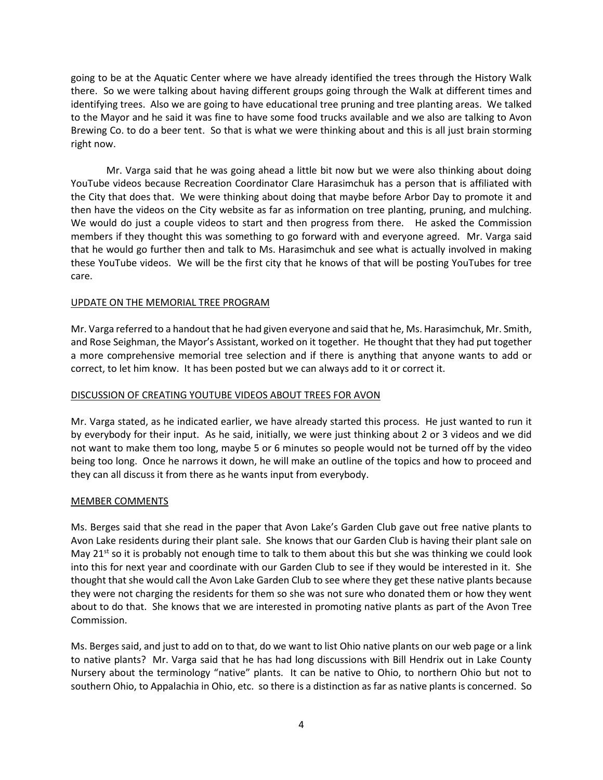going to be at the Aquatic Center where we have already identified the trees through the History Walk there. So we were talking about having different groups going through the Walk at different times and identifying trees. Also we are going to have educational tree pruning and tree planting areas. We talked to the Mayor and he said it was fine to have some food trucks available and we also are talking to Avon Brewing Co. to do a beer tent. So that is what we were thinking about and this is all just brain storming right now.

Mr. Varga said that he was going ahead a little bit now but we were also thinking about doing YouTube videos because Recreation Coordinator Clare Harasimchuk has a person that is affiliated with the City that does that. We were thinking about doing that maybe before Arbor Day to promote it and then have the videos on the City website as far as information on tree planting, pruning, and mulching. We would do just a couple videos to start and then progress from there. He asked the Commission members if they thought this was something to go forward with and everyone agreed. Mr. Varga said that he would go further then and talk to Ms. Harasimchuk and see what is actually involved in making these YouTube videos. We will be the first city that he knows of that will be posting YouTubes for tree care.

### UPDATE ON THE MEMORIAL TREE PROGRAM

Mr. Varga referred to a handout that he had given everyone and said that he, Ms. Harasimchuk, Mr. Smith, and Rose Seighman, the Mayor's Assistant, worked on it together. He thought that they had put together a more comprehensive memorial tree selection and if there is anything that anyone wants to add or correct, to let him know. It has been posted but we can always add to it or correct it.

### DISCUSSION OF CREATING YOUTUBE VIDEOS ABOUT TREES FOR AVON

Mr. Varga stated, as he indicated earlier, we have already started this process. He just wanted to run it by everybody for their input. As he said, initially, we were just thinking about 2 or 3 videos and we did not want to make them too long, maybe 5 or 6 minutes so people would not be turned off by the video being too long. Once he narrows it down, he will make an outline of the topics and how to proceed and they can all discuss it from there as he wants input from everybody.

### MEMBER COMMENTS

Ms. Berges said that she read in the paper that Avon Lake's Garden Club gave out free native plants to Avon Lake residents during their plant sale. She knows that our Garden Club is having their plant sale on May  $21<sup>st</sup>$  so it is probably not enough time to talk to them about this but she was thinking we could look into this for next year and coordinate with our Garden Club to see if they would be interested in it. She thought that she would call the Avon Lake Garden Club to see where they get these native plants because they were not charging the residents for them so she was not sure who donated them or how they went about to do that. She knows that we are interested in promoting native plants as part of the Avon Tree Commission.

Ms. Berges said, and just to add on to that, do we want to list Ohio native plants on our web page or a link to native plants? Mr. Varga said that he has had long discussions with Bill Hendrix out in Lake County Nursery about the terminology "native" plants. It can be native to Ohio, to northern Ohio but not to southern Ohio, to Appalachia in Ohio, etc. so there is a distinction as far as native plants is concerned. So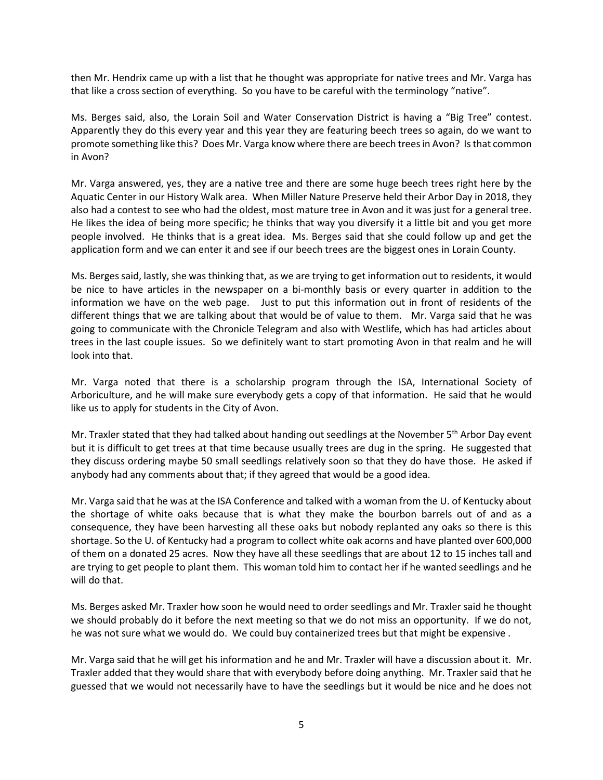then Mr. Hendrix came up with a list that he thought was appropriate for native trees and Mr. Varga has that like a cross section of everything. So you have to be careful with the terminology "native".

Ms. Berges said, also, the Lorain Soil and Water Conservation District is having a "Big Tree" contest. Apparently they do this every year and this year they are featuring beech trees so again, do we want to promote something like this? Does Mr. Varga know where there are beech treesin Avon? Is that common in Avon?

Mr. Varga answered, yes, they are a native tree and there are some huge beech trees right here by the Aquatic Center in our History Walk area. When Miller Nature Preserve held their Arbor Day in 2018, they also had a contest to see who had the oldest, most mature tree in Avon and it was just for a general tree. He likes the idea of being more specific; he thinks that way you diversify it a little bit and you get more people involved. He thinks that is a great idea. Ms. Berges said that she could follow up and get the application form and we can enter it and see if our beech trees are the biggest ones in Lorain County.

Ms. Berges said, lastly, she was thinking that, as we are trying to get information out to residents, it would be nice to have articles in the newspaper on a bi-monthly basis or every quarter in addition to the information we have on the web page. Just to put this information out in front of residents of the different things that we are talking about that would be of value to them. Mr. Varga said that he was going to communicate with the Chronicle Telegram and also with Westlife, which has had articles about trees in the last couple issues. So we definitely want to start promoting Avon in that realm and he will look into that.

Mr. Varga noted that there is a scholarship program through the ISA, International Society of Arboriculture, and he will make sure everybody gets a copy of that information. He said that he would like us to apply for students in the City of Avon.

Mr. Traxler stated that they had talked about handing out seedlings at the November  $5<sup>th</sup>$  Arbor Day event but it is difficult to get trees at that time because usually trees are dug in the spring. He suggested that they discuss ordering maybe 50 small seedlings relatively soon so that they do have those. He asked if anybody had any comments about that; if they agreed that would be a good idea.

Mr. Varga said that he was at the ISA Conference and talked with a woman from the U. of Kentucky about the shortage of white oaks because that is what they make the bourbon barrels out of and as a consequence, they have been harvesting all these oaks but nobody replanted any oaks so there is this shortage. So the U. of Kentucky had a program to collect white oak acorns and have planted over 600,000 of them on a donated 25 acres. Now they have all these seedlings that are about 12 to 15 inches tall and are trying to get people to plant them. This woman told him to contact her if he wanted seedlings and he will do that.

Ms. Berges asked Mr. Traxler how soon he would need to order seedlings and Mr. Traxler said he thought we should probably do it before the next meeting so that we do not miss an opportunity. If we do not, he was not sure what we would do. We could buy containerized trees but that might be expensive .

Mr. Varga said that he will get his information and he and Mr. Traxler will have a discussion about it. Mr. Traxler added that they would share that with everybody before doing anything. Mr. Traxler said that he guessed that we would not necessarily have to have the seedlings but it would be nice and he does not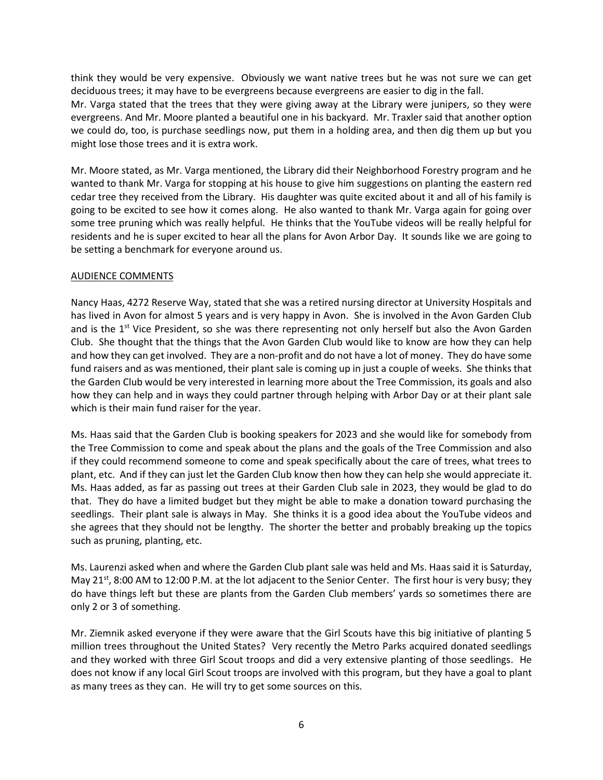think they would be very expensive. Obviously we want native trees but he was not sure we can get deciduous trees; it may have to be evergreens because evergreens are easier to dig in the fall.

Mr. Varga stated that the trees that they were giving away at the Library were junipers, so they were evergreens. And Mr. Moore planted a beautiful one in his backyard. Mr. Traxler said that another option we could do, too, is purchase seedlings now, put them in a holding area, and then dig them up but you might lose those trees and it is extra work.

Mr. Moore stated, as Mr. Varga mentioned, the Library did their Neighborhood Forestry program and he wanted to thank Mr. Varga for stopping at his house to give him suggestions on planting the eastern red cedar tree they received from the Library. His daughter was quite excited about it and all of his family is going to be excited to see how it comes along. He also wanted to thank Mr. Varga again for going over some tree pruning which was really helpful. He thinks that the YouTube videos will be really helpful for residents and he is super excited to hear all the plans for Avon Arbor Day. It sounds like we are going to be setting a benchmark for everyone around us.

### AUDIENCE COMMENTS

Nancy Haas, 4272 Reserve Way, stated that she was a retired nursing director at University Hospitals and has lived in Avon for almost 5 years and is very happy in Avon. She is involved in the Avon Garden Club and is the 1<sup>st</sup> Vice President, so she was there representing not only herself but also the Avon Garden Club. She thought that the things that the Avon Garden Club would like to know are how they can help and how they can get involved. They are a non-profit and do not have a lot of money. They do have some fund raisers and as was mentioned, their plant sale is coming up in just a couple of weeks. She thinks that the Garden Club would be very interested in learning more about the Tree Commission, its goals and also how they can help and in ways they could partner through helping with Arbor Day or at their plant sale which is their main fund raiser for the year.

Ms. Haas said that the Garden Club is booking speakers for 2023 and she would like for somebody from the Tree Commission to come and speak about the plans and the goals of the Tree Commission and also if they could recommend someone to come and speak specifically about the care of trees, what trees to plant, etc. And if they can just let the Garden Club know then how they can help she would appreciate it. Ms. Haas added, as far as passing out trees at their Garden Club sale in 2023, they would be glad to do that. They do have a limited budget but they might be able to make a donation toward purchasing the seedlings. Their plant sale is always in May. She thinks it is a good idea about the YouTube videos and she agrees that they should not be lengthy. The shorter the better and probably breaking up the topics such as pruning, planting, etc.

Ms. Laurenzi asked when and where the Garden Club plant sale was held and Ms. Haas said it is Saturday, May 21<sup>st</sup>, 8:00 AM to 12:00 P.M. at the lot adjacent to the Senior Center. The first hour is very busy; they do have things left but these are plants from the Garden Club members' yards so sometimes there are only 2 or 3 of something.

Mr. Ziemnik asked everyone if they were aware that the Girl Scouts have this big initiative of planting 5 million trees throughout the United States? Very recently the Metro Parks acquired donated seedlings and they worked with three Girl Scout troops and did a very extensive planting of those seedlings. He does not know if any local Girl Scout troops are involved with this program, but they have a goal to plant as many trees as they can. He will try to get some sources on this.